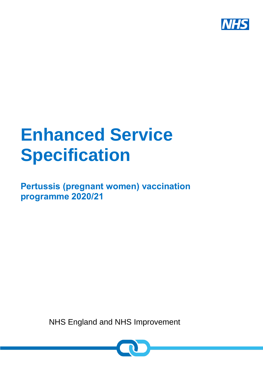

# **Enhanced Service Specification**

**Pertussis (pregnant women) vaccination programme 2020/21**

NHS England and NHS Improvement

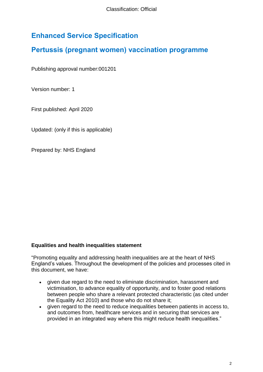# **Enhanced Service Specification**

# **Pertussis (pregnant women) vaccination programme**

Publishing approval number:001201

Version number: 1

First published: April 2020

Updated: (only if this is applicable)

Prepared by: NHS England

#### **Equalities and health inequalities statement**

"Promoting equality and addressing health inequalities are at the heart of NHS England's values. Throughout the development of the policies and processes cited in this document, we have:

- given due regard to the need to eliminate discrimination, harassment and victimisation, to advance equality of opportunity, and to foster good relations between people who share a relevant protected characteristic (as cited under the Equality Act 2010) and those who do not share it;
- given regard to the need to reduce inequalities between patients in access to, and outcomes from, healthcare services and in securing that services are provided in an integrated way where this might reduce health inequalities."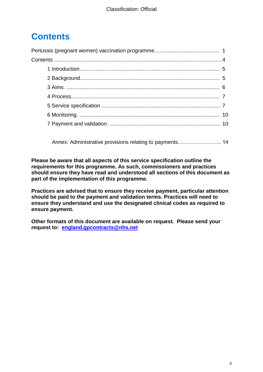# **Contents**

Annex: Administrative provisions relating to payments…………….……... 14

**Please be aware that all aspects of this service specification outline the requirements for this programme. As such, commissioners and practices should ensure they have read and understood all sections of this document as part of the implementation of this programme.** 

**Practices are advised that to ensure they receive payment, particular attention should be paid to the payment and validation terms. Practices will need to ensure they understand and use the designated clinical codes as required to ensure payment.** 

<span id="page-2-0"></span>**Other formats of this document are available on request. Please send your request to: [england.gpcontracts@nhs.net](mailto:england.gpcontracts@nhs.net)**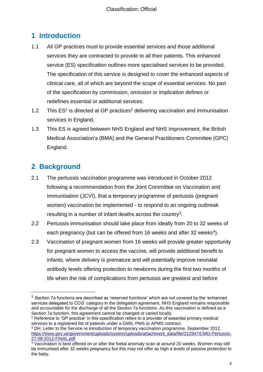# **1 Introduction**

- 1.1 All GP practices must to provide essential services and those additional services they are contracted to provide to all their patients. This enhanced service (ES) specification outlines more specialised services to be provided. The specification of this service is designed to cover the enhanced aspects of clinical care, all of which are beyond the scope of essential services. No part of the specification by commission, omission or implication defines or redefines essential or additional services.
- 1.2 This  $ES<sup>1</sup>$  is directed at GP practices<sup>2</sup> delivering vaccination and immunisation services in England.
- 1.3 This ES is agreed between NHS England and NHS Improvement, the British Medical Association's (BMA) and the General Practitioners Committee (GPC) England.

# <span id="page-3-0"></span>**2 Background**

 $\overline{a}$ 

- 2.1 The pertussis vaccination programme was introduced in October 2012 following a recommendation from the Joint Committee on Vaccination and Immunisation (JCVI), that a temporary programme of pertussis (pregnant women) vaccination be implemented - to respond to an ongoing outbreak resulting in a number of infant deaths across the country<sup>3</sup>.
- 2.2 Pertussis immunisation should take place from ideally from 20 to 32 weeks of each pregnancy (but can be offered from 16 weeks and after 32 weeks<sup>4</sup>).
- 2.3 Vaccination of pregnant women from 16 weeks will provide greater opportunity for pregnant women to access the vaccine, will provide additional benefit to infants, where delivery is premature and will potentially improve neonatal antibody levels offering protection to newborns during the first two months of life when the risk of complications from pertussis are greatest and before

 $<sup>1</sup>$  Section 7a functions are described as 'reserved functions' which are not covered by the 'enhanced</sup> services delegated to CCG' category in the delegation agreement. NHS England remains responsible and accountable for the discharge of all the Section 7a functions. As this vaccination is defined as a Section 7a function, this agreement cannot be changed or varied locally.

<sup>2</sup> Reference to 'GP practice' in this specification refers to a provider of essential primary medical services to a registered list of patients under a GMS, PMS or APMS contract.

<sup>&</sup>lt;sup>3</sup> DH. Letter to the Service re introduction of temporary vaccination programme. September 2012. [https://www.gov.uk/government/uploads/system/uploads/attachment\\_data/file/212947/CMO-Pertussis-](https://www.gov.uk/government/uploads/system/uploads/attachment_data/file/212947/CMO-Pertussis-27-09-2012-FINAL.pdf)[27-09-2012-FINAL.pdf](https://www.gov.uk/government/uploads/system/uploads/attachment_data/file/212947/CMO-Pertussis-27-09-2012-FINAL.pdf)

<sup>&</sup>lt;sup>4</sup> Vaccination is best offered on or after the foetal anomaly scan at around 20 weeks. Women may still be immunised after 32 weeks pregnancy but this may not offer as high a levels of passive protection to the baby.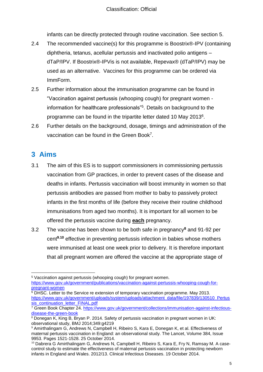infants can be directly protected through routine vaccination. See section 5.

- <span id="page-4-1"></span>2.4 The recommended vaccine(s) for this programme is Boostrix®-IPV (containing diphtheria, tetanus, acellular pertussis and inactivated polio antigens – dTaP/IPV. If Boostrix®-IPVis is not available, Repevax® (dTaP/IPV) may be used as an alternative. Vaccines for this programme can be ordered via ImmForm.
- 2.5 Further information about the immunisation programme can be found in "Vaccination against pertussis (whooping cough) for pregnant women information for healthcare professionals"<sup>5</sup> . Details on background to the programme can be found in the tripartite letter dated 10 May 2013<sup>6</sup>.
- 2.6 Further details on the background, dosage, timings and administration of the vaccination can be found in the Green Book<sup>7</sup>.

## <span id="page-4-0"></span>**3 Aims**

- 3.1 The aim of this ES is to support commissioners in commissioning pertussis vaccination from GP practices, in order to prevent cases of the disease and deaths in infants. Pertussis vaccination will boost immunity in women so that pertussis antibodies are passed from mother to baby to passively protect infants in the first months of life (before they receive their routine childhood immunisations from aged two months). It is important for all women to be offered the pertussis vaccine during **each** pregnancy.
- 3.2 The vaccine has been shown to be both safe in pregnancy**<sup>8</sup>** and 91-92 per cent**<sup>9</sup>**,**<sup>10</sup>** effective in preventing pertussis infection in babies whose mothers were immunised at least one week prior to delivery. It is therefore important that all pregnant women are offered the vaccine at the appropriate stage of

<sup>6</sup> DHSC. Letter to the Service re extension of temporary vaccination programme. May 2013. [https://www.gov.uk/government/uploads/system/uploads/attachment\\_data/file/197839/130510\\_Pertus](https://www.gov.uk/government/uploads/system/uploads/attachment_data/file/197839/130510_Pertussis_continuation_letter_FINAL.pdf) [sis\\_continuation\\_letter\\_FINAL.pdf](https://www.gov.uk/government/uploads/system/uploads/attachment_data/file/197839/130510_Pertussis_continuation_letter_FINAL.pdf)

 $\overline{a}$ <sup>5</sup> Vaccination against pertussis (whooping cough) for pregnant women. [https://www.gov.uk/government/publications/vaccination-against-pertussis-whooping-cough-for](https://www.gov.uk/government/publications/vaccination-against-pertussis-whooping-cough-for-pregnant-women)[pregnant-women](https://www.gov.uk/government/publications/vaccination-against-pertussis-whooping-cough-for-pregnant-women)

<sup>&</sup>lt;sup>7</sup> Green Book Chapter 24. [https://www.gov.uk/government/collections/immunisation-against-infectious](https://www.gov.uk/government/collections/immunisation-against-infectious-disease-the-green-book)[disease-the-green-book](https://www.gov.uk/government/collections/immunisation-against-infectious-disease-the-green-book)

<sup>8</sup> Donegan K, King B, Bryan P. 2014. Safety of pertussis vaccination in pregnant women in UK: observational study, BMJ 2014;349:g4219

<sup>9</sup> Amirthalingam G, Andrews N, Campbell H, Ribeiro S, Kara E, Donegan K, et al. Effectiveness of maternal pertussis vaccination in England: an observational study. The Lancet, Volume 384, Issue 9953. Pages 1521-1528. 25 October 2014.

<sup>&</sup>lt;sup>10</sup> Dabrera G Amirthalingam G, Andrews N, Campbell H, Ribeiro S, Kara E, Fry N, Ramsay M. A casecontrol study to estimate the effectiveness of maternal pertussis vaccination in protecting newborn infants in England and Wales. 2012/13. Clinical Infectious Diseases. 19 October 2014.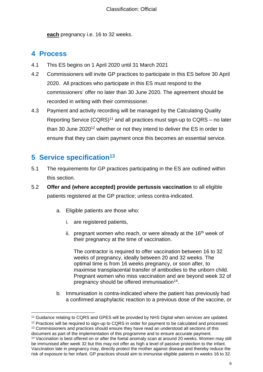**each** pregnancy i.e. 16 to 32 weeks.

#### **4 Process**

- 4.1 This ES begins on 1 April 2020 until 31 March 2021
- 4.2 Commissioners will invite GP practices to participate in this ES before 30 April 2020. All practices who participate in this ES must respond to the commissioners' offer no later than 30 June 2020. The agreement should be recorded in writing with their commissioner.
- 4.3 Payment and activity recording will be managed by the Calculating Quality Reporting Service  $(CQRS)^{11}$  and all practices must sign-up to  $CQRS -$  no later than 30 June 2020<sup>12</sup> whether or not they intend to deliver the ES in order to ensure that they can claim payment once this becomes an essential service.

## <span id="page-5-0"></span>**5 Service specification<sup>13</sup>**

- 5.1 The requirements for GP practices participating in the ES are outlined within this section.
- 5.2 **Offer and (where accepted) provide pertussis vaccination** to all eligible patients registered at the GP practice; unless contra-indicated.
	- a. Eligible patients are those who:
		- i. are registered patients,
		- ii. pregnant women who reach, or were already at the  $16<sup>th</sup>$  week of their pregnancy at the time of vaccination.

The contractor is required to offer vaccination between 16 to 32 weeks of pregnancy, ideally between 20 and 32 weeks. The optimal time is from 16 weeks pregnancy, or soon after, to maximise transplacental transfer of antibodies to the unborn child. Pregnant women who miss vaccination and are beyond week 32 of pregnancy should be offered immunisation<sup>14</sup>.

b. Immunisation is contra-indicated where the patient has previously had a confirmed anaphylactic reaction to a previous dose of the vaccine, or

<sup>13</sup> Commissioners and practices should ensure they have read an understood all sections of this document as part of the implementation of this programme and to ensure accurate payment.

 $\overline{a}$ <sup>11</sup> Guidance relating to CQRS and GPES will be provided by NHS Digital when services are updated.

<sup>&</sup>lt;sup>12</sup> Practices will be required to sign-up to CQRS in order for payment to be calculated and processed.

<sup>14</sup> Vaccination is best offered on or after the foetal anomaly scan at around 20 weeks. Women may still be immunised after week 32 but this may not offer as high a level of passive protection to the infant. Vaccination late in pregnancy may, directly protect the mother against disease and thereby reduce the risk of exposure to her infant. GP practices should aim to immunise eligible patients in weeks 16 to 32.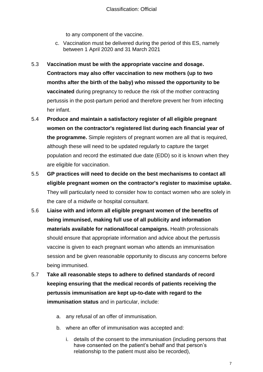to any component of the vaccine.

- c. Vaccination must be delivered during the period of this ES, namely between 1 April 2020 and 31 March 2021
- 5.3 **Vaccination must be with the appropriate vaccine and dosage. Contractors may also offer vaccination to new mothers (up to two months after the birth of the baby) who missed the opportunity to be vaccinated** during pregnancy to reduce the risk of the mother contracting pertussis in the post-partum period and therefore prevent her from infecting her infant.
- 5.4 **Produce and maintain a satisfactory register of all eligible pregnant women on the contractor's registered list during each financial year of the programme.** Simple registers of pregnant women are all that is required, although these will need to be updated regularly to capture the target population and record the estimated due date (EDD) so it is known when they are eligible for vaccination.
- 5.5 **GP practices will need to decide on the best mechanisms to contact all eligible pregnant women on the contractor's register to maximise uptake.**  They will particularly need to consider how to contact women who are solely in the care of a midwife or hospital consultant.
- 5.6 **Liaise with and inform all eligible pregnant women of the benefits of being immunised, making full use of all publicity and information materials available for national/local campaigns.** Health professionals should ensure that appropriate information and advice about the pertussis vaccine is given to each pregnant woman who attends an immunisation session and be given reasonable opportunity to discuss any concerns before being immunised.
- 5.7 **Take all reasonable steps to adhere to defined standards of record keeping ensuring that the medical records of patients receiving the pertussis immunisation are kept up-to-date with regard to the immunisation status** and in particular, include:
	- a. any refusal of an offer of immunisation.
	- b. where an offer of immunisation was accepted and:
		- i. details of the consent to the immunisation (including persons that have consented on the patient's behalf and that person's relationship to the patient must also be recorded),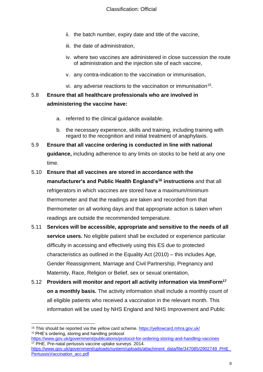- ii. the batch number, expiry date and title of the vaccine,
- iii. the date of administration,
- iv. where two vaccines are administered in close succession the route of administration and the injection site of each vaccine,
- v. any contra-indication to the vaccination or immunisation,
- vi. any adverse reactions to the vaccination or immunisation<sup>15</sup>.

#### 5.8 **Ensure that all healthcare professionals who are involved in administering the vaccine have:**

- a. referred to the clinical guidance available.
- b. the necessary experience, skills and training, including training with regard to the recognition and initial treatment of anaphylaxis.
- 5.9 **Ensure that all vaccine ordering is conducted in line with national guidance,** including adherence to any limits on stocks to be held at any one time.
- 5.10 **Ensure that all vaccines are stored in accordance with the manufacturer's and Public Health England's<sup>16</sup> instructions** and that all refrigerators in which vaccines are stored have a maximum/minimum thermometer and that the readings are taken and recorded from that thermometer on all working days and that appropriate action is taken when readings are outside the recommended temperature.
- 5.11 **Services will be accessible, appropriate and sensitive to the needs of all service users.** No eligible patient shall be excluded or experience particular difficulty in accessing and effectively using this ES due to protected characteristics as outlined in the Equality Act (2010) – this includes Age, Gender Reassignment, Marriage and Civil Partnership, Pregnancy and Maternity, Race, Religion or Belief, sex or sexual orientation,
- 5.12 **Providers will monitor and report all activity information via ImmForm<sup>17</sup> on a monthly basis.** The activity information shall include a monthly count of all eligible patients who received a vaccination in the relevant month. This information will be used by NHS England and NHS Improvement and Public

 $\overline{a}$ <sup>15</sup> This should be reported via the yellow card scheme.<https://yellowcard.mhra.gov.uk/> <sup>16</sup> PHE's ordering, storing and handling protocol

<https://www.gov.uk/government/publications/protocol-for-ordering-storing-and-handling-vaccines> <sup>17</sup> PHE. Pre-natal pertussis vaccine uptake surveys. 2014.

[https://www.gov.uk/government/uploads/system/uploads/attachment\\_data/file/347085/2902749\\_PHE\\_](https://www.gov.uk/government/uploads/system/uploads/attachment_data/file/347085/2902749_PHE_PertussisVaccination_acc.pdf) [PertussisVaccination\\_acc.pdf](https://www.gov.uk/government/uploads/system/uploads/attachment_data/file/347085/2902749_PHE_PertussisVaccination_acc.pdf)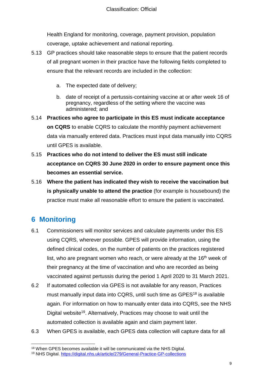Health England for monitoring, coverage, payment provision, population coverage, uptake achievement and national reporting.

- 5.13 GP practices should take reasonable steps to ensure that the patient records of all pregnant women in their practice have the following fields completed to ensure that the relevant records are included in the collection:
	- a. The expected date of delivery;
	- b. date of receipt of a pertussis-containing vaccine at or after week 16 of pregnancy, regardless of the setting where the vaccine was administered; and
- 5.14 **Practices who agree to participate in this ES must indicate acceptance on CQRS** to enable CQRS to calculate the monthly payment achievement data via manually entered data. Practices must input data manually into CQRS until GPES is available.
- 5.15 **Practices who do not intend to deliver the ES must still indicate acceptance on CQRS 30 June 2020 in order to ensure payment once this becomes an essential service.**
- 5.16 **Where the patient has indicated they wish to receive the vaccination but is physically unable to attend the practice** (for example is housebound) the practice must make all reasonable effort to ensure the patient is vaccinated.

# <span id="page-8-0"></span>**6 Monitoring**

l

- 6.1 Commissioners will monitor services and calculate payments under this ES using CQRS, wherever possible. GPES will provide information, using the defined clinical codes, on the number of patients on the practices registered list, who are pregnant women who reach, or were already at the  $16<sup>th</sup>$  week of their pregnancy at the time of vaccination and who are recorded as being vaccinated against pertussis during the period 1 April 2020 to 31 March 2021.
- 6.2 If automated collection via GPES is not available for any reason, Practices must manually input data into CQRS, until such time as GPES<sup>18</sup> is available again. For information on how to manually enter data into CQRS, see the NHS Digital website<sup>19</sup>. Alternatively, Practices may choose to wait until the automated collection is available again and claim payment later.
- 6.3 When GPES is available, each GPES data collection will capture data for all

<sup>&</sup>lt;sup>18</sup> When GPES becomes available it will be communicated via the NHS Digital.

<sup>19</sup> NHS Digital.<https://digital.nhs.uk/article/279/General-Practice-GP-collections>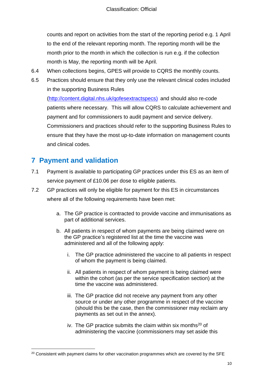counts and report on activities from the start of the reporting period e.g. 1 April to the end of the relevant reporting month. The reporting month will be the month prior to the month in which the collection is run e.g. if the collection month is May, the reporting month will be April.

- 6.4 When collections begins, GPES will provide to CQRS the monthly counts.
- 6.5 Practices should ensure that they only use the relevant clinical codes included in the supporting Business Rules

[\(http://content.digital.nhs.uk/qofesextractspecs\)](http://content.digital.nhs.uk/qofesextractspecs) and should also re-code patients where necessary. This will allow CQRS to calculate achievement and payment and for commissioners to audit payment and service delivery. Commissioners and practices should refer to the supporting Business Rules to ensure that they have the most up-to-date information on management counts and clinical codes.

# <span id="page-9-0"></span>**7 Payment and validation**

l

- 7.1 Payment is available to participating GP practices under this ES as an item of service payment of £10.06 per dose to eligible patients.
- 7.2 GP practices will only be eligible for payment for this ES in circumstances where all of the following requirements have been met:
	- a. The GP practice is contracted to provide vaccine and immunisations as part of additional services.
	- b. All patients in respect of whom payments are being claimed were on the GP practice's registered list at the time the vaccine was administered and all of the following apply:
		- i. The GP practice administered the vaccine to all patients in respect of whom the payment is being claimed.
		- ii. All patients in respect of whom payment is being claimed were within the cohort (as per the service specification section) at the time the vaccine was administered.
		- iii. The GP practice did not receive any payment from any other source or under any other programme in respect of the vaccine (should this be the case, then the commissioner may reclaim any payments as set out in the annex).
		- iv. The GP practice submits the claim within six months<sup>20</sup> of administering the vaccine (commissioners may set aside this

 $20$  Consistent with payment claims for other vaccination programmes which are covered by the SFE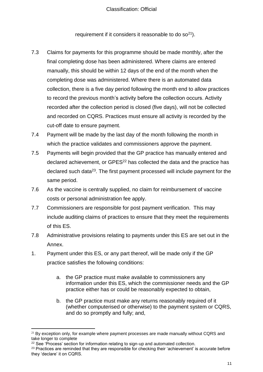requirement if it considers it reasonable to do  $\sigma^{21}$ ).

- 7.3 Claims for payments for this programme should be made monthly, after the final completing dose has been administered. Where claims are entered manually, this should be within 12 days of the end of the month when the completing dose was administered. Where there is an automated data collection, there is a five day period following the month end to allow practices to record the previous month's activity before the collection occurs. Activity recorded after the collection period is closed (five days), will not be collected and recorded on CQRS. Practices must ensure all activity is recorded by the cut-off date to ensure payment.
- 7.4 Payment will be made by the last day of the month following the month in which the practice validates and commissioners approve the payment.
- 7.5 Payments will begin provided that the GP practice has manually entered and declared achievement, or GPES<sup>22</sup> has collected the data and the practice has declared such data<sup>23</sup>. The first payment processed will include payment for the same period.
- 7.6 As the vaccine is centrally supplied, no claim for reimbursement of vaccine costs or personal administration fee apply.
- 7.7 Commissioners are responsible for post payment verification. This may include auditing claims of practices to ensure that they meet the requirements of this ES.
- 7.8 Administrative provisions relating to payments under this ES are set out in the Annex.
- 1. Payment under this ES, or any part thereof, will be made only if the GP practice satisfies the following conditions:
	- a. the GP practice must make available to commissioners any information under this ES, which the commissioner needs and the GP practice either has or could be reasonably expected to obtain,
	- b. the GP practice must make any returns reasonably required of it (whether computerised or otherwise) to the payment system or CQRS, and do so promptly and fully; and,

l  $21$  By exception only, for example where payment processes are made manually without CQRS and take longer to complete

<sup>&</sup>lt;sup>22</sup> See 'Process' section for information relating to sign-up and automated collection.

<sup>&</sup>lt;sup>23</sup> Practices are reminded that they are responsible for checking their 'achievement' is accurate before they 'declare' it on CQRS.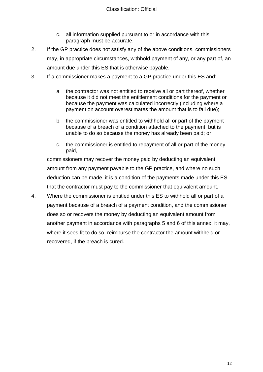- c. all information supplied pursuant to or in accordance with this paragraph must be accurate.
- 2. If the GP practice does not satisfy any of the above conditions, commissioners may, in appropriate circumstances, withhold payment of any, or any part of, an amount due under this ES that is otherwise payable.
- 3. If a commissioner makes a payment to a GP practice under this ES and:
	- a. the contractor was not entitled to receive all or part thereof, whether because it did not meet the entitlement conditions for the payment or because the payment was calculated incorrectly (including where a payment on account overestimates the amount that is to fall due);
	- b. the commissioner was entitled to withhold all or part of the payment because of a breach of a condition attached to the payment, but is unable to do so because the money has already been paid; or
	- c. the commissioner is entitled to repayment of all or part of the money paid,

commissioners may recover the money paid by deducting an equivalent amount from any payment payable to the GP practice, and where no such deduction can be made, it is a condition of the payments made under this ES that the contractor must pay to the commissioner that equivalent amount.

4. Where the commissioner is entitled under this ES to withhold all or part of a payment because of a breach of a payment condition, and the commissioner does so or recovers the money by deducting an equivalent amount from another payment in accordance with paragraphs 5 and 6 of this annex, it may, where it sees fit to do so, reimburse the contractor the amount withheld or recovered, if the breach is cured.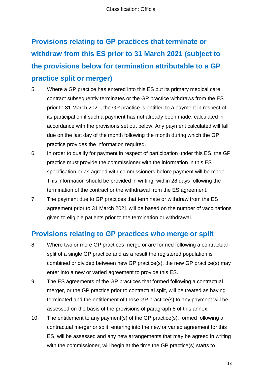# **Provisions relating to GP practices that terminate or withdraw from this ES prior to 31 March 2021 (subject to the provisions below for termination attributable to a GP practice split or merger)**

- 5. Where a GP practice has entered into this ES but its primary medical care contract subsequently terminates or the GP practice withdraws from the ES prior to 31 March 2021, the GP practice is entitled to a payment in respect of its participation if such a payment has not already been made, calculated in accordance with the provisions set out below. Any payment calculated will fall due on the last day of the month following the month during which the GP practice provides the information required.
- 6. In order to qualify for payment in respect of participation under this ES, the GP practice must provide the commissioner with the information in this ES specification or as agreed with commissioners before payment will be made. This information should be provided in writing, within 28 days following the termination of the contract or the withdrawal from the ES agreement.
- 7. The payment due to GP practices that terminate or withdraw from the ES agreement prior to 31 March 2021 will be based on the number of vaccinations given to eligible patients prior to the termination or withdrawal.

# **Provisions relating to GP practices who merge or split**

- 8. Where two or more GP practices merge or are formed following a contractual split of a single GP practice and as a result the registered population is combined or divided between new GP practice(s), the new GP practice(s) may enter into a new or varied agreement to provide this ES.
- 9. The ES agreements of the GP practices that formed following a contractual merger, or the GP practice prior to contractual split, will be treated as having terminated and the entitlement of those GP practice(s) to any payment will be assessed on the basis of the provisions of paragraph 8 of this annex.
- 10. The entitlement to any payment(s) of the GP practice(s), formed following a contractual merger or split, entering into the new or varied agreement for this ES, will be assessed and any new arrangements that may be agreed in writing with the commissioner, will begin at the time the GP practice(s) starts to